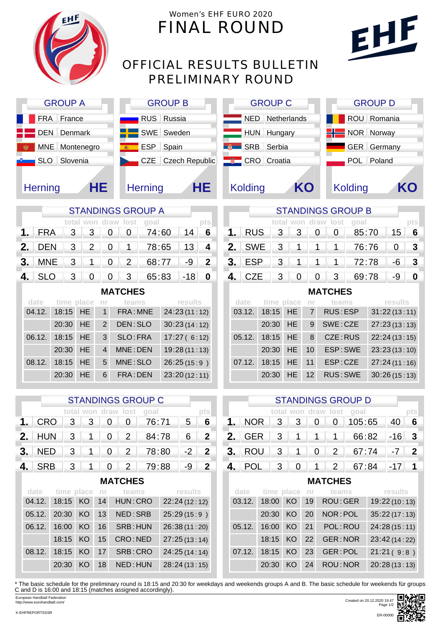

## Women's EHF EURO 2020 FINAL ROUND

## OFFICIAL RESULTS BULLETIN PRELIMINARY ROUND

| <b>GROUP A</b> | GF                 |            |
|----------------|--------------------|------------|
|                | FRA France         | <b>RUS</b> |
|                | <b>DEN</b> Denmark | <b>SWE</b> |
|                | MNE Montenegro     | <b>ESP</b> |
|                | SLO Slovenia       | <b>CZE</b> |
| <b>Herning</b> | HE                 | Hernin     |

| <b>GROUP B</b> |                    |  |  |  |  |  |  |  |  |  |
|----------------|--------------------|--|--|--|--|--|--|--|--|--|
|                | <b>RUS</b> Russia  |  |  |  |  |  |  |  |  |  |
|                | SWE Sweden         |  |  |  |  |  |  |  |  |  |
|                | ESP Spain          |  |  |  |  |  |  |  |  |  |
|                | CZE Czech Republic |  |  |  |  |  |  |  |  |  |
| <b>Herning</b> | HE                 |  |  |  |  |  |  |  |  |  |

| <b>GROUP C</b>                | <b>GROUP D</b>       |
|-------------------------------|----------------------|
| NED Netherlands               | ROU Romania          |
| HUN Hungary                   | <b>H</b> NOR Norway  |
| <b>SRB</b> Serbia<br><b>B</b> | GER Germany          |
| CRO Croatia                   | POL Poland           |
|                               |                      |
| KO<br><b>Kolding</b>          | KO<br><b>Kolding</b> |

STANDINGS GROUP B

**1.** RUS 3 3 0 0 85:70 15 **6**

**2.** SWE 3 1 1 1 76:76 0 3 **3.** ESP 3 1 1 1 1 72:78 6 3 **4.** CZE 3 0 0 3 69:78 -9 **0**

**total won draw lost goal pts**

EHF

| <b>STANDINGS GROUP A</b> |            |  |  |  |  |                          |       |  |  |  |  |
|--------------------------|------------|--|--|--|--|--------------------------|-------|--|--|--|--|
|                          |            |  |  |  |  | total won draw lost goal |       |  |  |  |  |
|                          | <b>FRA</b> |  |  |  |  | 3 3 0 0 74:60            | 14    |  |  |  |  |
|                          |            |  |  |  |  | 2. DEN 3 2 0 1 78:65 13  |       |  |  |  |  |
|                          |            |  |  |  |  | 3. MNE 3 1 0 2 68:77 -9  |       |  |  |  |  |
|                          |            |  |  |  |  | 3 65:83                  | $-18$ |  |  |  |  |

**MATCHES**

| date   |          |                 |                | time place nr teams | results      |
|--------|----------|-----------------|----------------|---------------------|--------------|
| 04.12. | 18:15 HE |                 |                | 1 FRA: MNE          | 24:23(11:12) |
|        | 20:30    | HE <sup>1</sup> | $\overline{2}$ | DEN: SLO            | 30:23(14:12) |
| 06.12. | 18:15    | HE.             | 3              | SLO: FRA            | 17:27(6:12)  |
|        | 20:30    | HE <sup>1</sup> |                | MNE: DEN            | 19:28(11:13) |
| 08.12. | 18:15    | HE <sup>1</sup> | 5              | MNE: SLO            | 26:25(15:9)  |
|        | 20:30    | HE.             | 6              | FRA: DEN            | 23:20(12:11) |

06.12. 16:00 KO 16 SRB: HUN 26:38 (11:20)

08.12. 18:15 KO 17 SRB: CRO 24:25 (14:14)

18:15 KO 15 CRO : NED 27:25(13 : 14)

20:30 KO 18 NED : HUN 28:24(13 : 15)

| <b>MATCHES</b> |               |                 |                 |                 |              |  |  |  |  |  |  |
|----------------|---------------|-----------------|-----------------|-----------------|--------------|--|--|--|--|--|--|
| date           | time place nr |                 |                 | teams           | results      |  |  |  |  |  |  |
| 03.12.         | 18:15 HE      |                 | 7 <sup>1</sup>  | <b>RUS:ESP</b>  | 31:22(13:11) |  |  |  |  |  |  |
|                | 20:30         | HE I            | 9               | SWE: CZE        | 27:23(13:13) |  |  |  |  |  |  |
| 05.12.         | 18:15         | HE.             | 8               | CZE:RUS         | 22:24(13:15) |  |  |  |  |  |  |
|                | 20:30         | HE <sub>1</sub> | 10 <sup>°</sup> | ESP: SWE        | 23:23(13:10) |  |  |  |  |  |  |
| 07.12.         | 18:15         | HE.             | 11              | ESP:CZE         | 27:24(11:16) |  |  |  |  |  |  |
|                | 20:30         | HE.             | 12 <sup>1</sup> | <b>RUS: SWE</b> | 30:26(15:13) |  |  |  |  |  |  |
|                |               |                 |                 |                 |              |  |  |  |  |  |  |

|                    |       |            |    |                                  | <b>STANDINGS GROUP C</b> |              | <b>STANDINGS GROUP D</b> |     |            |               |                |    |                |                          |              |         |     |
|--------------------|-------|------------|----|----------------------------------|--------------------------|--------------|--------------------------|-----|------------|---------------|----------------|----|----------------|--------------------------|--------------|---------|-----|
|                    |       |            |    | total won draw lost              | goal                     |              | pts                      |     |            |               |                |    |                | total won draw lost goal |              |         | pts |
| 1.<br><b>CRO</b>   |       | 3          |    | 0<br>0                           | 76:71                    | 5            | 6                        |     | <b>NOR</b> | 3             | 3              |    | 0              | 105:65                   |              | 40      |     |
| 2.1<br><b>HUN</b>  | 3     |            |    | $\overline{2}$<br>0              | 84:78                    | 6            | $\mathbf{2}$             | 2.  | <b>GER</b> | 3             |                |    | 1              | 66:82                    |              | $-16$ 3 |     |
| 3.<br><b>NED</b>   | 3     |            | 0  | $\overline{2}$                   | 78:80                    | $-2$         | 2                        | 3.  | <b>ROU</b> | 3             |                |    | 2              | 67:74                    |              | -7      |     |
| <b>SRB</b><br>4. I | 3     |            |    | $\overline{2}$<br>$\overline{0}$ | 79:88                    | $-9$         | $\overline{2}$           | 4.1 | POL        | 3             | $\overline{0}$ |    | $\overline{2}$ | 67:84                    |              | $-17$   |     |
|                    |       |            |    | <b>MATCHES</b>                   |                          |              |                          |     |            |               |                |    | <b>MATCHES</b> |                          |              |         |     |
| date               |       | time place | nr | teams                            |                          | results      |                          |     | date       | time place nr |                |    | teams          |                          |              | results |     |
| 04.12.             | 18:15 | KO         | 14 | HUN: CRO                         |                          | 22:24(12:12) |                          |     | 03.12.     | 18:00         | KO             | 19 | ROU: GER       |                          | 19:22(10:13) |         |     |
| 05.12.             | 20:30 | KO.        | 13 | NED: SRB                         |                          | 25:29(15:9   |                          |     |            | 20:30         | KO.            | 20 | NOR: POL       |                          | 35:22(17:13) |         |     |

|  |  | 03.12. 18:00 KO 19 ROU: GER | 19:22(10:13)  |
|--|--|-----------------------------|---------------|
|  |  | 20:30 KO 20 NOR: POL        | 35:22(17:13)  |
|  |  | 05.12. 16:00 KO 21 POL:ROU  | 24:28(15:11)  |
|  |  | 18:15 KO 22 GER:NOR         | 23:42 (14:22) |
|  |  | 07.12. 18:15 KO 23 GER: POL | 21:21(9:8)    |
|  |  | 20:30 KO 24 ROU: NOR        | 20:28(13:13)  |

\* The basic schedule for the preliminary round is 18:15 and 20:30 for weekdays and weekends groups A and B. The basic schedule for weekends für groups C and D is 16:00 and 18:15 (matches assigned accordingly). European Handball Federation